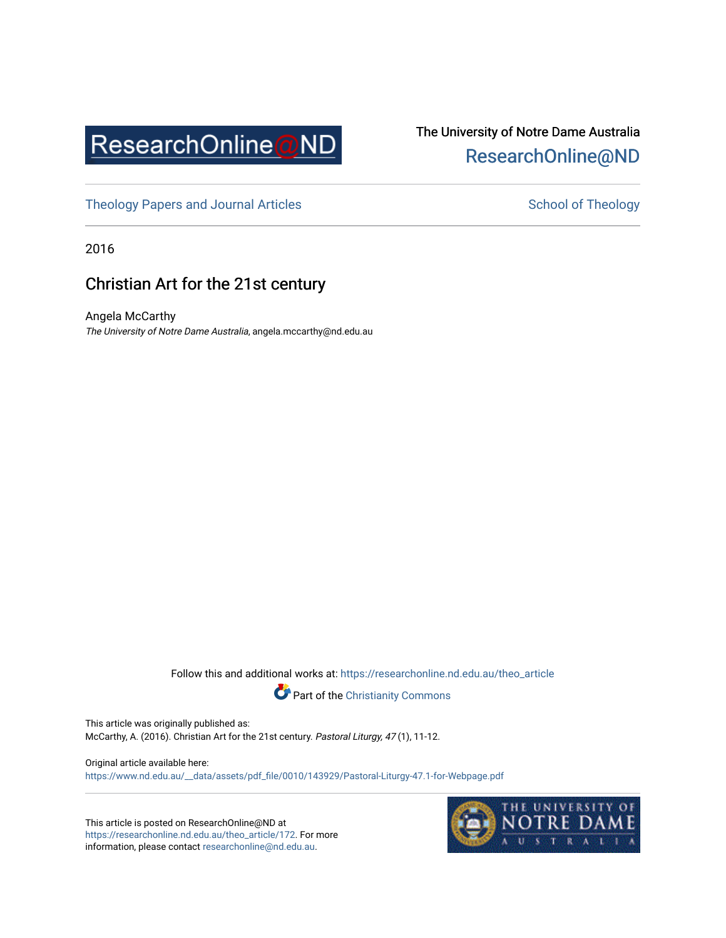

## The University of Notre Dame Australia [ResearchOnline@ND](https://researchonline.nd.edu.au/)

[Theology Papers and Journal Articles](https://researchonline.nd.edu.au/theo_article) and [School of Theology](https://researchonline.nd.edu.au/theo) School of Theology

2016

## Christian Art for the 21st century

Angela McCarthy The University of Notre Dame Australia, angela.mccarthy@nd.edu.au

Follow this and additional works at: [https://researchonline.nd.edu.au/theo\\_article](https://researchonline.nd.edu.au/theo_article?utm_source=researchonline.nd.edu.au%2Ftheo_article%2F172&utm_medium=PDF&utm_campaign=PDFCoverPages) 



This article was originally published as:

McCarthy, A. (2016). Christian Art for the 21st century. Pastoral Liturgy, 47 (1), 11-12.

Original article available here: [https://www.nd.edu.au/\\_\\_data/assets/pdf\\_file/0010/143929/Pastoral-Liturgy-47.1-for-Webpage.pdf](https://www.nd.edu.au/__data/assets/pdf_file/0010/143929/Pastoral-Liturgy-47.1-for-Webpage.pdf)

This article is posted on ResearchOnline@ND at [https://researchonline.nd.edu.au/theo\\_article/172](https://researchonline.nd.edu.au/theo_article/172). For more information, please contact [researchonline@nd.edu.au.](mailto:researchonline@nd.edu.au)

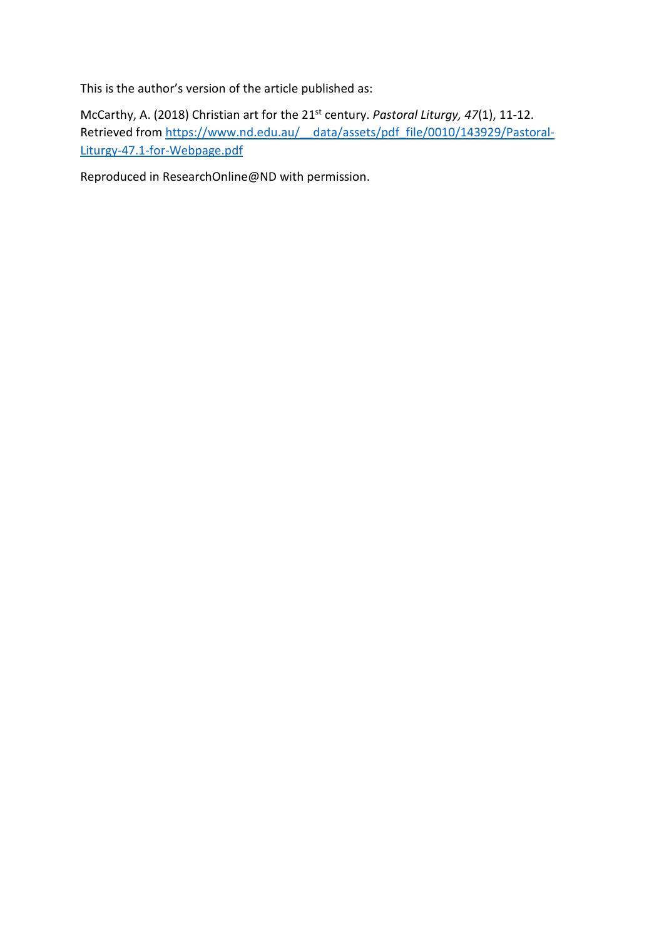This is the author's version of the article published as:

McCarthy, A. (2018) Christian art for the 21st century. *Pastoral Liturgy, 47*(1), 11-12. Retrieved from https://www.nd.edu.au/ data/assets/pdf\_file/0010/143929/Pastoral-[Liturgy-47.1-for-Webpage.pdf](https://www.nd.edu.au/__data/assets/pdf_file/0010/143929/Pastoral-Liturgy-47.1-for-Webpage.pdf)

Reproduced in ResearchOnline@ND with permission.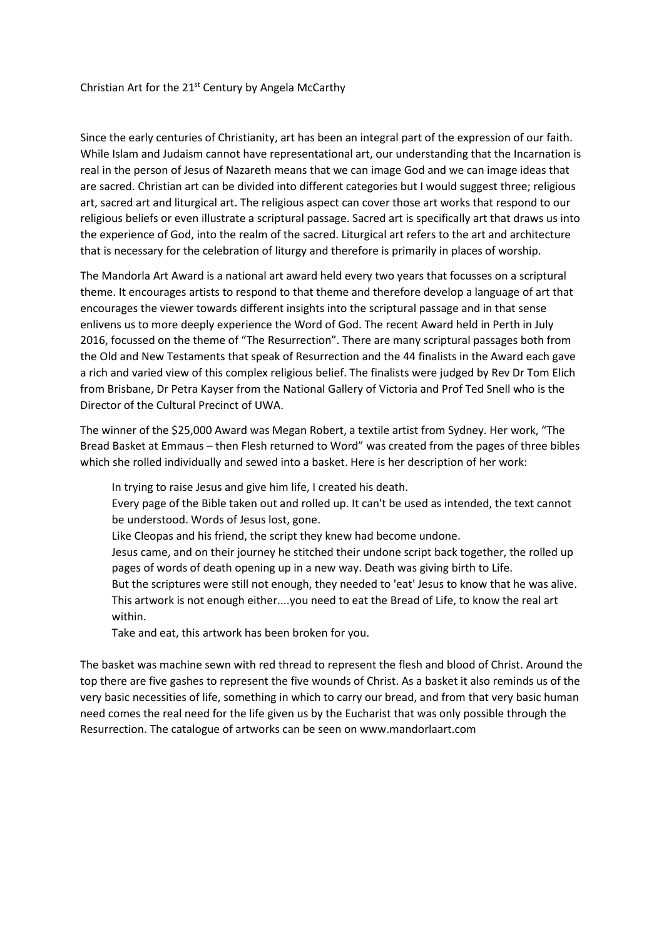## Christian Art for the 21st Century by Angela McCarthy

Since the early centuries of Christianity, art has been an integral part of the expression of our faith. While Islam and Judaism cannot have representational art, our understanding that the Incarnation is real in the person of Jesus of Nazareth means that we can image God and we can image ideas that are sacred. Christian art can be divided into different categories but I would suggest three; religious art, sacred art and liturgical art. The religious aspect can cover those art works that respond to our religious beliefs or even illustrate a scriptural passage. Sacred art is specifically art that draws us into the experience of God, into the realm of the sacred. Liturgical art refers to the art and architecture that is necessary for the celebration of liturgy and therefore is primarily in places of worship.

The Mandorla Art Award is a national art award held every two years that focusses on a scriptural theme. It encourages artists to respond to that theme and therefore develop a language of art that encourages the viewer towards different insights into the scriptural passage and in that sense enlivens us to more deeply experience the Word of God. The recent Award held in Perth in July 2016, focussed on the theme of "The Resurrection". There are many scriptural passages both from the Old and New Testaments that speak of Resurrection and the 44 finalists in the Award each gave a rich and varied view of this complex religious belief. The finalists were judged by Rev Dr Tom Elich from Brisbane, Dr Petra Kayser from the National Gallery of Victoria and Prof Ted Snell who is the Director of the Cultural Precinct of UWA.

The winner of the \$25,000 Award was Megan Robert, a textile artist from Sydney. Her work, "The Bread Basket at Emmaus – then Flesh returned to Word" was created from the pages of three bibles which she rolled individually and sewed into a basket. Here is her description of her work:

- In trying to raise Jesus and give him life, I created his death.
- Every page of the Bible taken out and rolled up. It can't be used as intended, the text cannot be understood. Words of Jesus lost, gone.
- Like Cleopas and his friend, the script they knew had become undone.
- Jesus came, and on their journey he stitched their undone script back together, the rolled up pages of words of death opening up in a new way. Death was giving birth to Life.
- But the scriptures were still not enough, they needed to 'eat' Jesus to know that he was alive. This artwork is not enough either....you need to eat the Bread of Life, to know the real art within.
- Take and eat, this artwork has been broken for you.

The basket was machine sewn with red thread to represent the flesh and blood of Christ. Around the top there are five gashes to represent the five wounds of Christ. As a basket it also reminds us of the very basic necessities of life, something in which to carry our bread, and from that very basic human need comes the real need for the life given us by the Eucharist that was only possible through the Resurrection. The catalogue of artworks can be seen on www.mandorlaart.com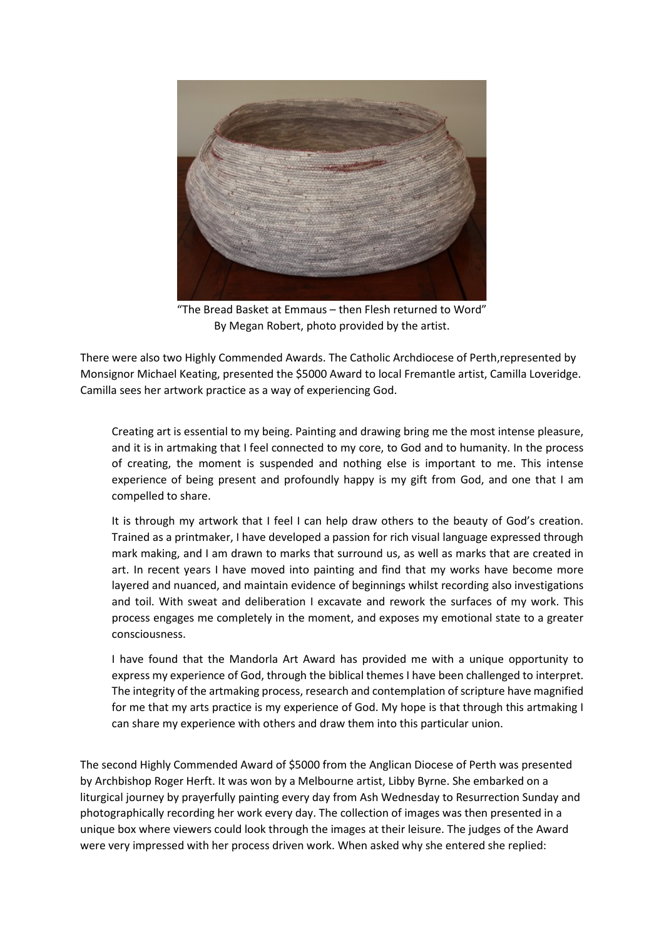

"The Bread Basket at Emmaus – then Flesh returned to Word" By Megan Robert, photo provided by the artist.

There were also two Highly Commended Awards. The Catholic Archdiocese of Perth,represented by Monsignor Michael Keating, presented the \$5000 Award to local Fremantle artist, Camilla Loveridge. Camilla sees her artwork practice as a way of experiencing God.

Creating art is essential to my being. Painting and drawing bring me the most intense pleasure, and it is in artmaking that I feel connected to my core, to God and to humanity. In the process of creating, the moment is suspended and nothing else is important to me. This intense experience of being present and profoundly happy is my gift from God, and one that I am compelled to share.

It is through my artwork that I feel I can help draw others to the beauty of God's creation. Trained as a printmaker, I have developed a passion for rich visual language expressed through mark making, and I am drawn to marks that surround us, as well as marks that are created in art. In recent years I have moved into painting and find that my works have become more layered and nuanced, and maintain evidence of beginnings whilst recording also investigations and toil. With sweat and deliberation I excavate and rework the surfaces of my work. This process engages me completely in the moment, and exposes my emotional state to a greater consciousness.

I have found that the Mandorla Art Award has provided me with a unique opportunity to express my experience of God, through the biblical themes I have been challenged to interpret. The integrity of the artmaking process, research and contemplation of scripture have magnified for me that my arts practice is my experience of God. My hope is that through this artmaking I can share my experience with others and draw them into this particular union.

The second Highly Commended Award of \$5000 from the Anglican Diocese of Perth was presented by Archbishop Roger Herft. It was won by a Melbourne artist, Libby Byrne. She embarked on a liturgical journey by prayerfully painting every day from Ash Wednesday to Resurrection Sunday and photographically recording her work every day. The collection of images was then presented in a unique box where viewers could look through the images at their leisure. The judges of the Award were very impressed with her process driven work. When asked why she entered she replied: